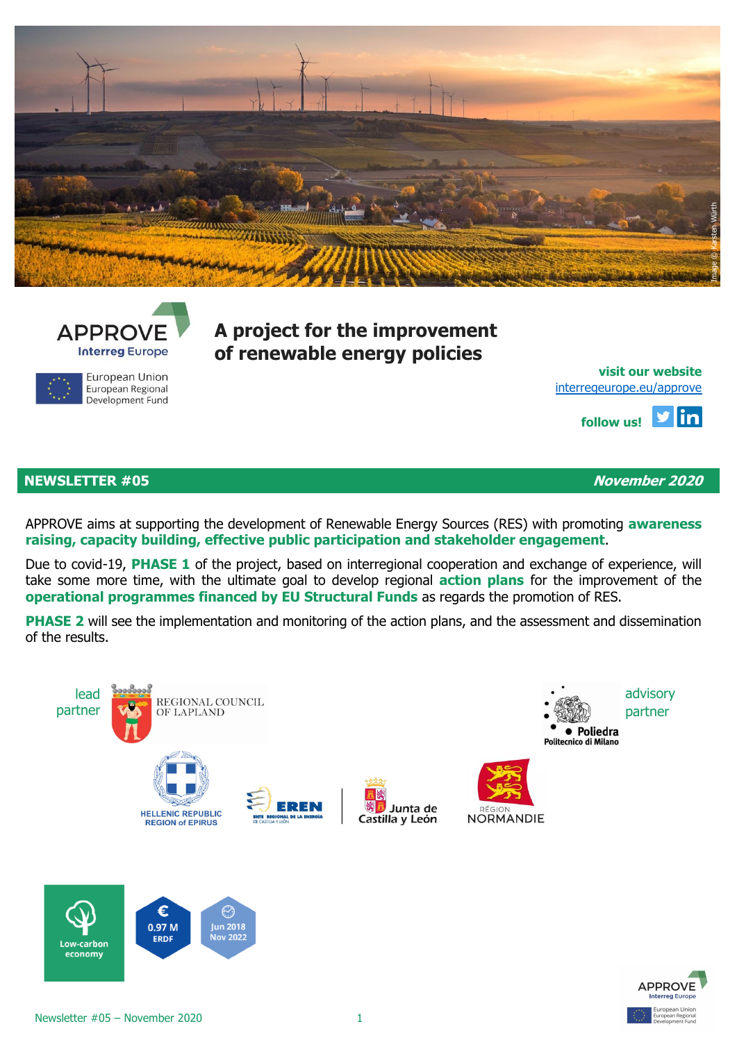



European Union European Regional Development Fund **A project for the improvement of renewable energy policies**

**[visit](http://eepurl.com/gbcZA9) our website** [interregeurope.eu/approve](file:///C:/Users/Lue/Dropbox/0%20work%20in%20progress%20AleAlex/APPROVE/4%20communication/Newsletter/NL3/interregeurope.eu/approve)

> l y lin **follow us!**

# **NEWSLETTER #05 November 2020**

APPROVE aims at supporting the development of Renewable Energy Sources (RES) with promoting **awareness raising, capacity building, effective public participation and stakeholder engagement**.

Due to covid-19, **PHASE 1** of the project, based on interregional cooperation and exchange of experience, will take some more time, with the ultimate goal to develop regional **action plans** for the improvement of the **operational programmes financed by EU Structural Funds** as regards the promotion of RES.

**PHASE 2** will see the implementation and monitoring of the action plans, and the assessment and dissemination of the results.





economy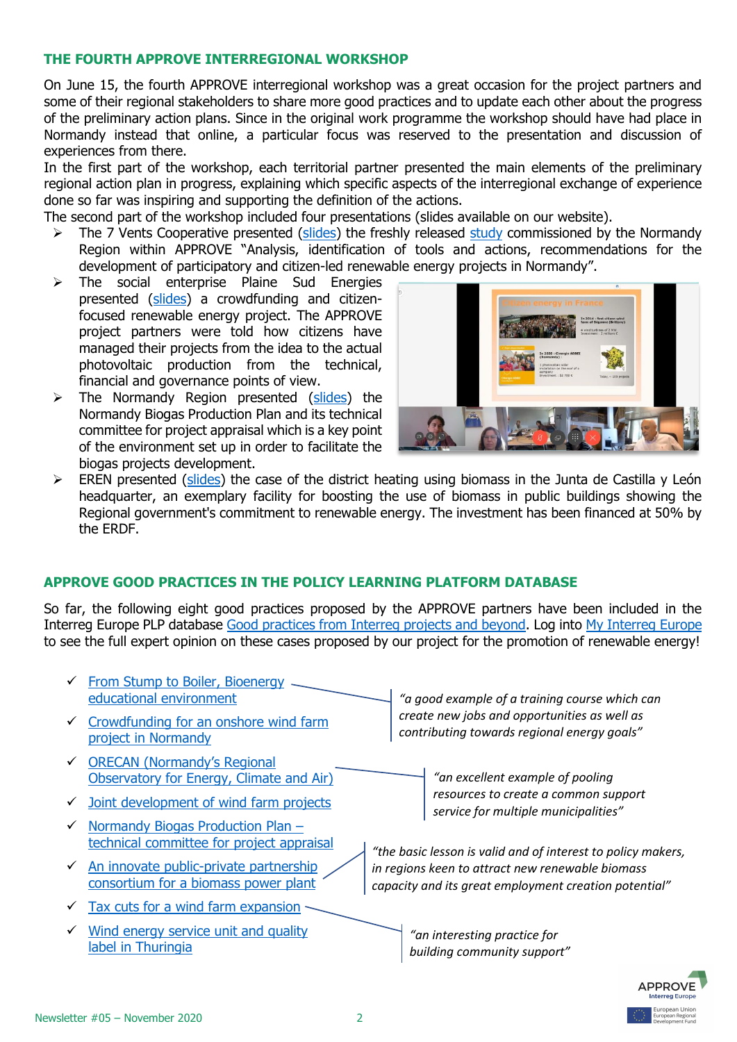# **THE FOURTH APPROVE INTERREGIONAL WORKSHOP**

On June 15, the fourth APPROVE interregional workshop was a great occasion for the project partners and some of their regional stakeholders to share more good practices and to update each other about the progress of the preliminary action plans. Since in the original work programme the workshop should have had place in Normandy instead that online, a particular focus was reserved to the presentation and discussion of experiences from there.

In the first part of the workshop, each territorial partner presented the main elements of the preliminary regional action plan in progress, explaining which specific aspects of the interregional exchange of experience done so far was inspiring and supporting the definition of the actions.

The second part of the workshop included four presentations (slides available on our website).

- $\triangleright$  The 7 Vents Cooperative presented [\(slides\)](http://www.poliedra.polimi.it/wp-content/uploads/APPROVE-IWS4-7Vents.pdf) the freshly released [study](https://www.interregeurope.eu/fileadmin/user_upload/tx_tevprojects/library/file_1606390807.pdf) commissioned by the Normandy Region within APPROVE "Analysis, identification of tools and actions, recommendations for the development of participatory and citizen-led renewable energy projects in Normandy".
- $\triangleright$  The social enterprise Plaine Sud Energies presented [\(slides\)](http://www.poliedra.polimi.it/wp-content/uploads/APPROVE-IWS4-Plaine-Sud-Energies.pdf) a crowdfunding and citizenfocused renewable energy project. The APPROVE project partners were told how citizens have managed their projects from the idea to the actual photovoltaic production from the technical, financial and governance points of view.
- $\triangleright$  The Normandy Region presented [\(slides\)](http://www.poliedra.polimi.it/wp-content/uploads/APPROVE-IWS4-Normandy-biogas-plan.pdf) the Normandy Biogas Production Plan and its technical committee for project appraisal which is a key point of the environment set up in order to facilitate the biogas projects development.



 $\triangleright$  EREN presented [\(slides\)](http://www.poliedra.polimi.it/wp-content/uploads/APPROVE-IWS4-Castilla-y-Leon-district-heating.pdf) the case of the district heating using biomass in the Junta de Castilla y León headquarter, an exemplary facility for boosting the use of biomass in public buildings showing the Regional government's commitment to renewable energy. The investment has been financed at 50% by the ERDF.

# **APPROVE GOOD PRACTICES IN THE POLICY LEARNING PLATFORM DATABASE**

So far, the following eight good practices proposed by the APPROVE partners have been included in the Interreg Europe PLP database [Good practices from Interreg projects and beyond.](https://www.interregeurope.eu/policylearning/good-practices/) Log into [My Interreg Europe](https://www.interregeurope.eu/account/dashboard/) to see the full expert opinion on these cases proposed by our project for the promotion of renewable energy!



 $\checkmark$  Wind energy service unit and quality [label in Thuringia](https://www.interregeurope.eu/policylearning/good-practices/item/3841/wind-energy-service-unit-and-quality-label-in-thuringia/)

*"an interesting practice for building community support"*

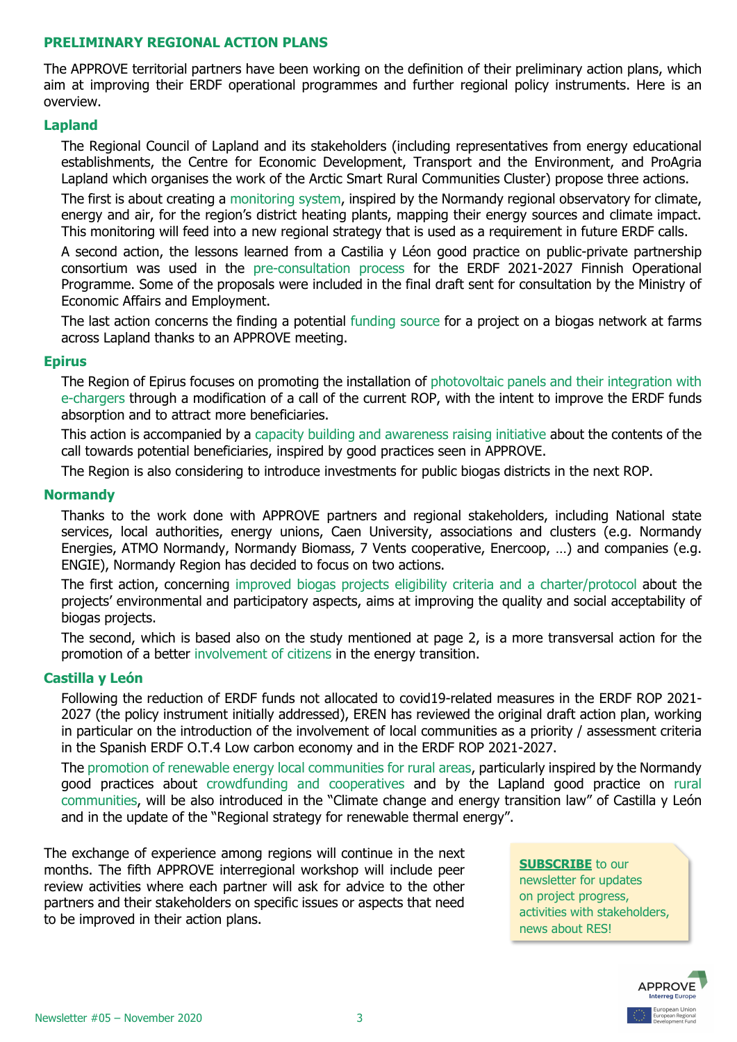## **PRELIMINARY REGIONAL ACTION PLANS**

The APPROVE territorial partners have been working on the definition of their preliminary action plans, which aim at improving their ERDF operational programmes and further regional policy instruments. Here is an overview.

### **Lapland**

The Regional Council of Lapland and its stakeholders (including representatives from energy educational establishments, the Centre for Economic Development, Transport and the Environment, and ProAgria Lapland which organises the work of the Arctic Smart Rural Communities Cluster) propose three actions.

The first is about creating a monitoring system, inspired by the Normandy regional observatory for climate, energy and air, for the region's district heating plants, mapping their energy sources and climate impact. This monitoring will feed into a new regional strategy that is used as a requirement in future ERDF calls.

A second action, the lessons learned from a Castilia y Léon good practice on public-private partnership consortium was used in the pre-consultation process for the ERDF 2021-2027 Finnish Operational Programme. Some of the proposals were included in the final draft sent for consultation by the Ministry of Economic Affairs and Employment.

The last action concerns the finding a potential funding source for a project on a biogas network at farms across Lapland thanks to an APPROVE meeting.

### **Epirus**

The Region of Epirus focuses on promoting the installation of photovoltaic panels and their integration with e-chargers through a modification of a call of the current ROP, with the intent to improve the ERDF funds absorption and to attract more beneficiaries.

This action is accompanied by a capacity building and awareness raising initiative about the contents of the call towards potential beneficiaries, inspired by good practices seen in APPROVE.

The Region is also considering to introduce investments for public biogas districts in the next ROP.

#### **Normandy**

Thanks to the work done with APPROVE partners and regional stakeholders, including National state services, local authorities, energy unions, Caen University, associations and clusters (e.g. Normandy Energies, ATMO Normandy, Normandy Biomass, 7 Vents cooperative, Enercoop, …) and companies (e.g. ENGIE), Normandy Region has decided to focus on two actions.

The first action, concerning improved biogas projects eligibility criteria and a charter/protocol about the projects' environmental and participatory aspects, aims at improving the quality and social acceptability of biogas projects.

The second, which is based also on the study mentioned at page 2, is a more transversal action for the promotion of a better involvement of citizens in the energy transition.

### **Castilla y León**

Following the reduction of ERDF funds not allocated to covid19-related measures in the ERDF ROP 2021- 2027 (the policy instrument initially addressed), EREN has reviewed the original draft action plan, working in particular on the introduction of the involvement of local communities as a priority / assessment criteria in the Spanish ERDF O.T.4 Low carbon economy and in the ERDF ROP 2021-2027.

The promotion of renewable energy local communities for rural areas, particularly inspired by the Normandy good practices about crowdfunding and cooperatives and by the Lapland good practice on rural communities, will be also introduced in the "Climate change and energy transition law" of Castilla y León and in the update of the "Regional strategy for renewable thermal energy".

The exchange of experience among regions will continue in the next months. The fifth APPROVE interregional workshop will include peer review activities where each partner will ask for advice to the other partners and their stakeholders on specific issues or aspects that need to be improved in their action plans.

**[SUBSCRIBE](http://eepurl.com/gbcZA9)** to our

newsletter for updates on project progress, activities with stakeholders, news about RES!